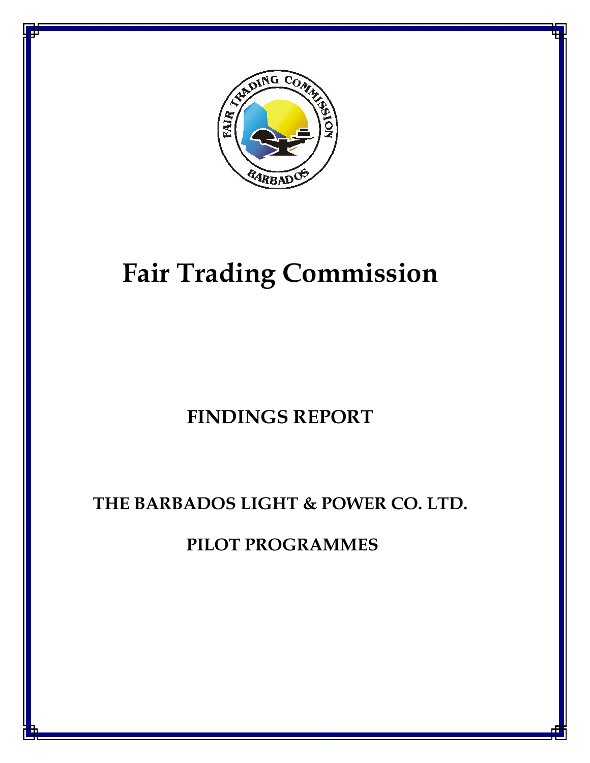

# **Fair Trading Commission**

# **FINDINGS REPORT**

# **THE BARBADOS LIGHT & POWER CO. LTD.**

# **PILOT PROGRAMMES**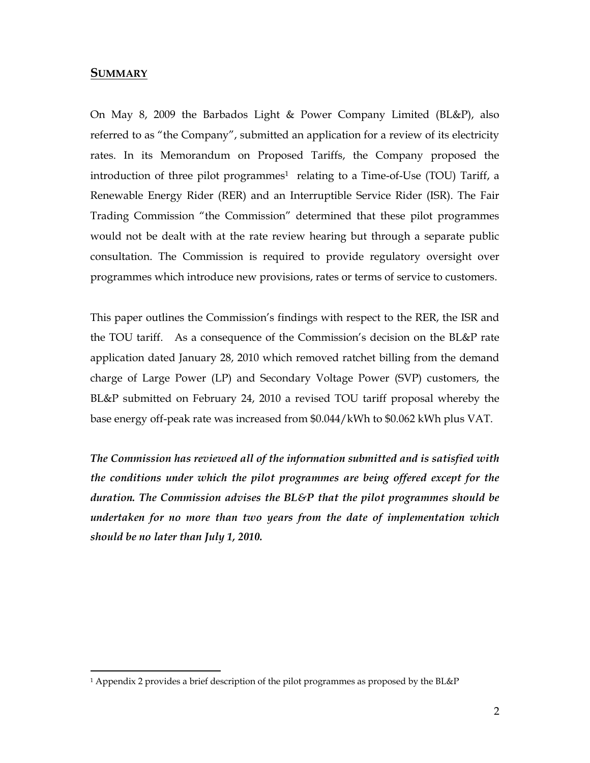#### **SUMMARY**

On May 8, 2009 the Barbados Light & Power Company Limited (BL&P), also referred to as "the Company", submitted an application for a review of its electricity rates. In its Memorandum on Proposed Tariffs, the Company proposed the introduction of three pilot programmes<sup>1</sup> relating to a Time-of-Use (TOU) Tariff, a Renewable Energy Rider (RER) and an Interruptible Service Rider (ISR). The Fair Trading Commission "the Commission" determined that these pilot programmes would not be dealt with at the rate review hearing but through a separate public consultation. The Commission is required to provide regulatory oversight over programmes which introduce new provisions, rates or terms of service to customers.

This paper outlines the Commission's findings with respect to the RER, the ISR and the TOU tariff. As a consequence of the Commission's decision on the BL&P rate application dated January 28, 2010 which removed ratchet billing from the demand charge of Large Power (LP) and Secondary Voltage Power (SVP) customers, the BL&P submitted on February 24, 2010 a revised TOU tariff proposal whereby the base energy off-peak rate was increased from \$0.044/kWh to \$0.062 kWh plus VAT.

*The Commission has reviewed all of the information submitted and is satisfied with the conditions under which the pilot programmes are being offered except for the duration. The Commission advises the BL&P that the pilot programmes should be undertaken for no more than two years from the date of implementation which should be no later than July 1, 2010.* 

<sup>&</sup>lt;sup>1</sup> Appendix 2 provides a brief description of the pilot programmes as proposed by the BL&P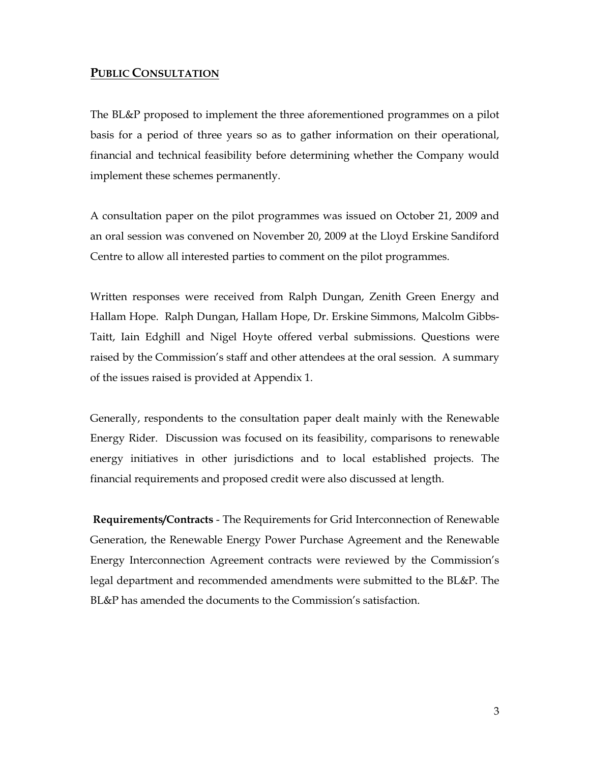## **PUBLIC CONSULTATION**

The BL&P proposed to implement the three aforementioned programmes on a pilot basis for a period of three years so as to gather information on their operational, financial and technical feasibility before determining whether the Company would implement these schemes permanently.

A consultation paper on the pilot programmes was issued on October 21, 2009 and an oral session was convened on November 20, 2009 at the Lloyd Erskine Sandiford Centre to allow all interested parties to comment on the pilot programmes.

Written responses were received from Ralph Dungan, Zenith Green Energy and Hallam Hope. Ralph Dungan, Hallam Hope, Dr. Erskine Simmons, Malcolm Gibbs-Taitt, Iain Edghill and Nigel Hoyte offered verbal submissions. Questions were raised by the Commission's staff and other attendees at the oral session. A summary of the issues raised is provided at Appendix 1.

Generally, respondents to the consultation paper dealt mainly with the Renewable Energy Rider. Discussion was focused on its feasibility, comparisons to renewable energy initiatives in other jurisdictions and to local established projects. The financial requirements and proposed credit were also discussed at length.

**Requirements/Contracts** - The Requirements for Grid Interconnection of Renewable Generation, the Renewable Energy Power Purchase Agreement and the Renewable Energy Interconnection Agreement contracts were reviewed by the Commission's legal department and recommended amendments were submitted to the BL&P. The BL&P has amended the documents to the Commission's satisfaction.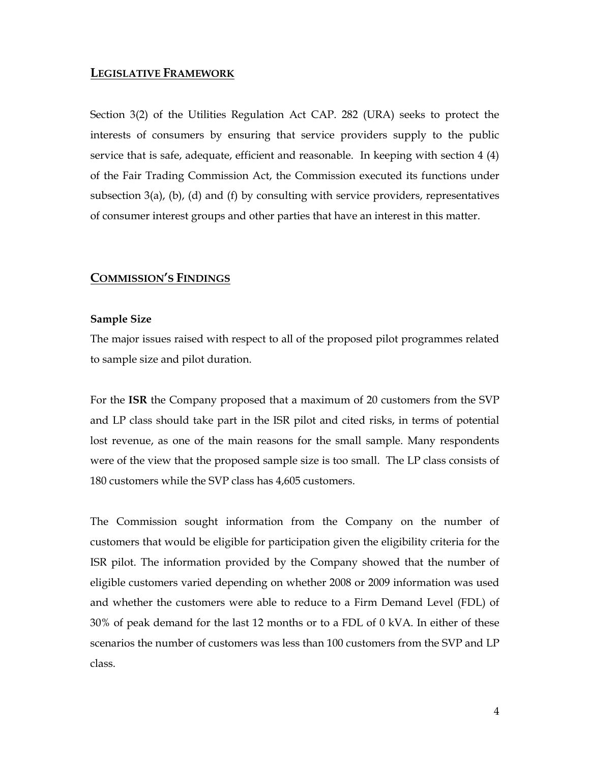#### **LEGISLATIVE FRAMEWORK**

Section 3(2) of the Utilities Regulation Act CAP. 282 (URA) seeks to protect the interests of consumers by ensuring that service providers supply to the public service that is safe, adequate, efficient and reasonable. In keeping with section 4 (4) of the Fair Trading Commission Act, the Commission executed its functions under subsection  $3(a)$ , (b), (d) and (f) by consulting with service providers, representatives of consumer interest groups and other parties that have an interest in this matter.

#### **COMMISSION'S FINDINGS**

#### **Sample Size**

The major issues raised with respect to all of the proposed pilot programmes related to sample size and pilot duration.

For the **ISR** the Company proposed that a maximum of 20 customers from the SVP and LP class should take part in the ISR pilot and cited risks, in terms of potential lost revenue, as one of the main reasons for the small sample. Many respondents were of the view that the proposed sample size is too small. The LP class consists of 180 customers while the SVP class has 4,605 customers.

The Commission sought information from the Company on the number of customers that would be eligible for participation given the eligibility criteria for the ISR pilot. The information provided by the Company showed that the number of eligible customers varied depending on whether 2008 or 2009 information was used and whether the customers were able to reduce to a Firm Demand Level (FDL) of 30% of peak demand for the last 12 months or to a FDL of 0 kVA. In either of these scenarios the number of customers was less than 100 customers from the SVP and LP class.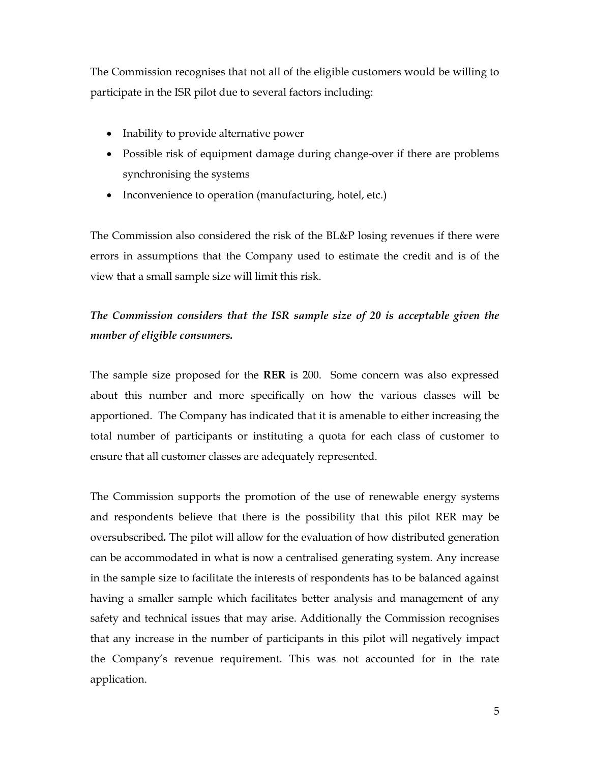The Commission recognises that not all of the eligible customers would be willing to participate in the ISR pilot due to several factors including:

- Inability to provide alternative power
- Possible risk of equipment damage during change-over if there are problems synchronising the systems
- Inconvenience to operation (manufacturing, hotel, etc.)

The Commission also considered the risk of the BL&P losing revenues if there were errors in assumptions that the Company used to estimate the credit and is of the view that a small sample size will limit this risk.

# *The Commission considers that the ISR sample size of 20 is acceptable given the number of eligible consumers.*

The sample size proposed for the **RER** is 200. Some concern was also expressed about this number and more specifically on how the various classes will be apportioned. The Company has indicated that it is amenable to either increasing the total number of participants or instituting a quota for each class of customer to ensure that all customer classes are adequately represented.

The Commission supports the promotion of the use of renewable energy systems and respondents believe that there is the possibility that this pilot RER may be oversubscribed*.* The pilot will allow for the evaluation of how distributed generation can be accommodated in what is now a centralised generating system*.* Any increase in the sample size to facilitate the interests of respondents has to be balanced against having a smaller sample which facilitates better analysis and management of any safety and technical issues that may arise. Additionally the Commission recognises that any increase in the number of participants in this pilot will negatively impact the Company's revenue requirement. This was not accounted for in the rate application.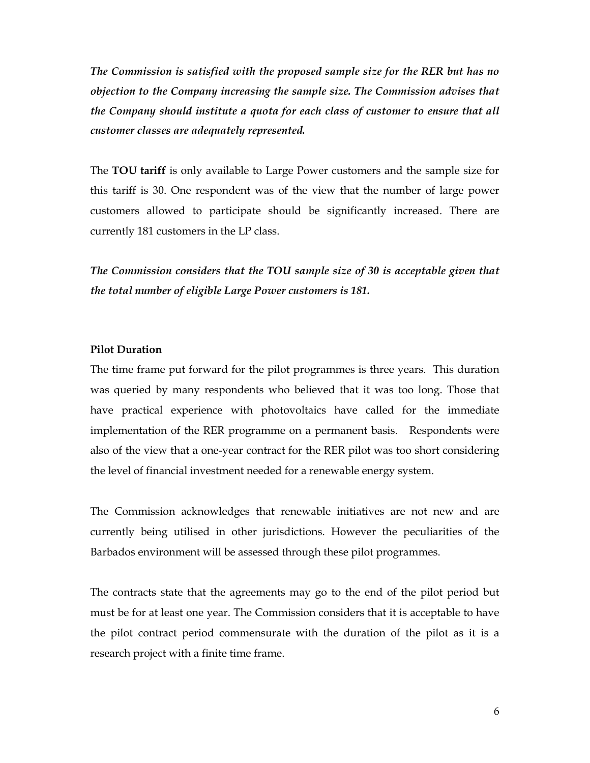*The Commission is satisfied with the proposed sample size for the RER but has no objection to the Company increasing the sample size. The Commission advises that the Company should institute a quota for each class of customer to ensure that all customer classes are adequately represented.* 

The **TOU tariff** is only available to Large Power customers and the sample size for this tariff is 30. One respondent was of the view that the number of large power customers allowed to participate should be significantly increased. There are currently 181 customers in the LP class.

*The Commission considers that the TOU sample size of 30 is acceptable given that the total number of eligible Large Power customers is 181.* 

#### **Pilot Duration**

The time frame put forward for the pilot programmes is three years. This duration was queried by many respondents who believed that it was too long. Those that have practical experience with photovoltaics have called for the immediate implementation of the RER programme on a permanent basis. Respondents were also of the view that a one-year contract for the RER pilot was too short considering the level of financial investment needed for a renewable energy system.

The Commission acknowledges that renewable initiatives are not new and are currently being utilised in other jurisdictions. However the peculiarities of the Barbados environment will be assessed through these pilot programmes.

The contracts state that the agreements may go to the end of the pilot period but must be for at least one year. The Commission considers that it is acceptable to have the pilot contract period commensurate with the duration of the pilot as it is a research project with a finite time frame.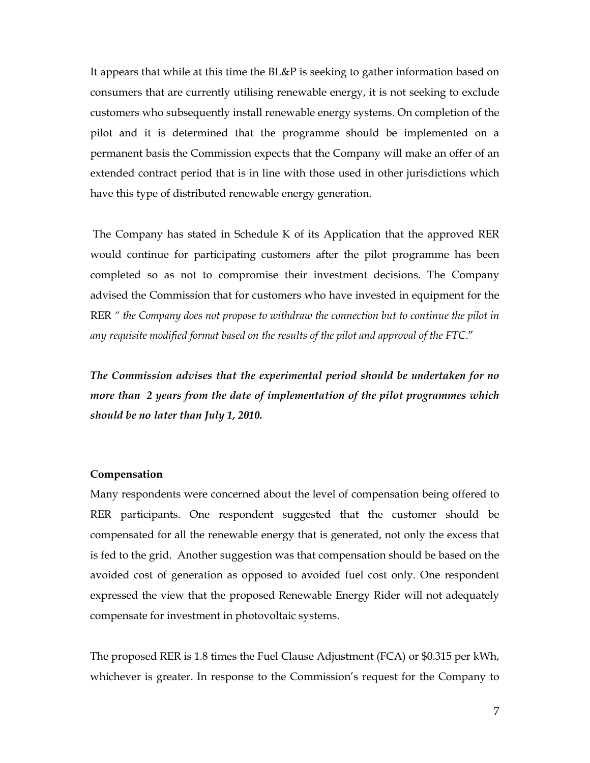It appears that while at this time the BL&P is seeking to gather information based on consumers that are currently utilising renewable energy, it is not seeking to exclude customers who subsequently install renewable energy systems. On completion of the pilot and it is determined that the programme should be implemented on a permanent basis the Commission expects that the Company will make an offer of an extended contract period that is in line with those used in other jurisdictions which have this type of distributed renewable energy generation.

 The Company has stated in Schedule K of its Application that the approved RER would continue for participating customers after the pilot programme has been completed so as not to compromise their investment decisions. The Company advised the Commission that for customers who have invested in equipment for the RER *" the Company does not propose to withdraw the connection but to continue the pilot in any requisite modified format based on the results of the pilot and approval of the FTC*."

*The Commission advises that the experimental period should be undertaken for no more than 2 years from the date of implementation of the pilot programmes which should be no later than July 1, 2010.* 

#### **Compensation**

Many respondents were concerned about the level of compensation being offered to RER participants. One respondent suggested that the customer should be compensated for all the renewable energy that is generated, not only the excess that is fed to the grid. Another suggestion was that compensation should be based on the avoided cost of generation as opposed to avoided fuel cost only. One respondent expressed the view that the proposed Renewable Energy Rider will not adequately compensate for investment in photovoltaic systems.

The proposed RER is 1.8 times the Fuel Clause Adjustment (FCA) or \$0.315 per kWh, whichever is greater. In response to the Commission's request for the Company to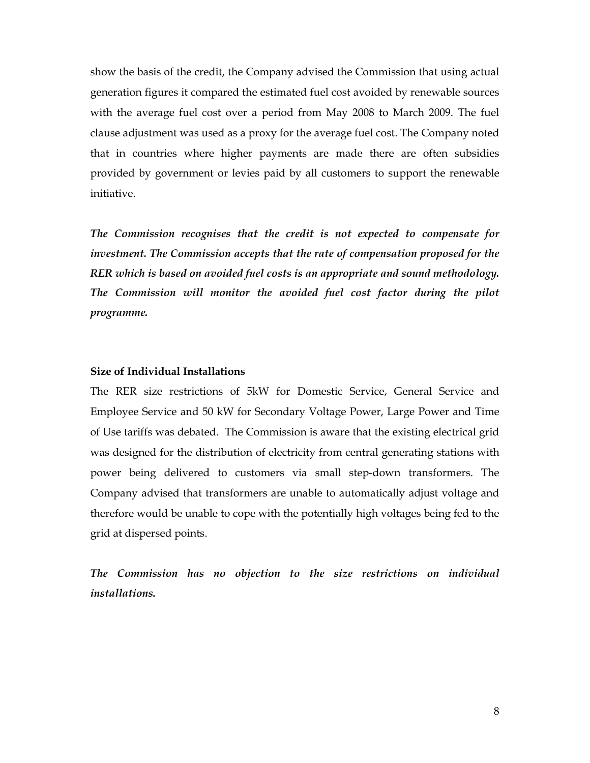show the basis of the credit, the Company advised the Commission that using actual generation figures it compared the estimated fuel cost avoided by renewable sources with the average fuel cost over a period from May 2008 to March 2009. The fuel clause adjustment was used as a proxy for the average fuel cost. The Company noted that in countries where higher payments are made there are often subsidies provided by government or levies paid by all customers to support the renewable initiative.

*The Commission recognises that the credit is not expected to compensate for investment. The Commission accepts that the rate of compensation proposed for the RER which is based on avoided fuel costs is an appropriate and sound methodology. The Commission will monitor the avoided fuel cost factor during the pilot programme.*

#### **Size of Individual Installations**

The RER size restrictions of 5kW for Domestic Service, General Service and Employee Service and 50 kW for Secondary Voltage Power, Large Power and Time of Use tariffs was debated. The Commission is aware that the existing electrical grid was designed for the distribution of electricity from central generating stations with power being delivered to customers via small step-down transformers. The Company advised that transformers are unable to automatically adjust voltage and therefore would be unable to cope with the potentially high voltages being fed to the grid at dispersed points.

*The Commission has no objection to the size restrictions on individual installations.*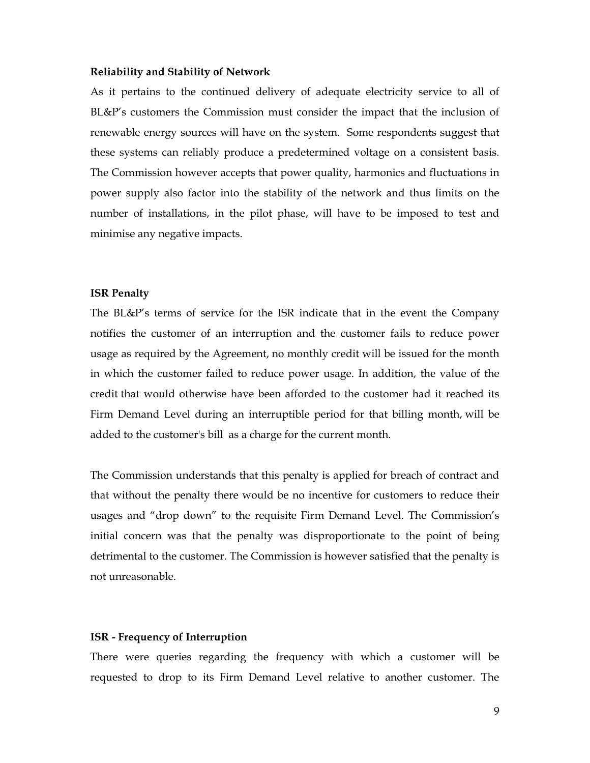#### **Reliability and Stability of Network**

As it pertains to the continued delivery of adequate electricity service to all of BL&P's customers the Commission must consider the impact that the inclusion of renewable energy sources will have on the system. Some respondents suggest that these systems can reliably produce a predetermined voltage on a consistent basis. The Commission however accepts that power quality, harmonics and fluctuations in power supply also factor into the stability of the network and thus limits on the number of installations, in the pilot phase, will have to be imposed to test and minimise any negative impacts.

#### **ISR Penalty**

The BL&P's terms of service for the ISR indicate that in the event the Company notifies the customer of an interruption and the customer fails to reduce power usage as required by the Agreement, no monthly credit will be issued for the month in which the customer failed to reduce power usage. In addition, the value of the credit that would otherwise have been afforded to the customer had it reached its Firm Demand Level during an interruptible period for that billing month, will be added to the customer's bill as a charge for the current month.

The Commission understands that this penalty is applied for breach of contract and that without the penalty there would be no incentive for customers to reduce their usages and "drop down" to the requisite Firm Demand Level. The Commission's initial concern was that the penalty was disproportionate to the point of being detrimental to the customer. The Commission is however satisfied that the penalty is not unreasonable.

#### **ISR - Frequency of Interruption**

There were queries regarding the frequency with which a customer will be requested to drop to its Firm Demand Level relative to another customer. The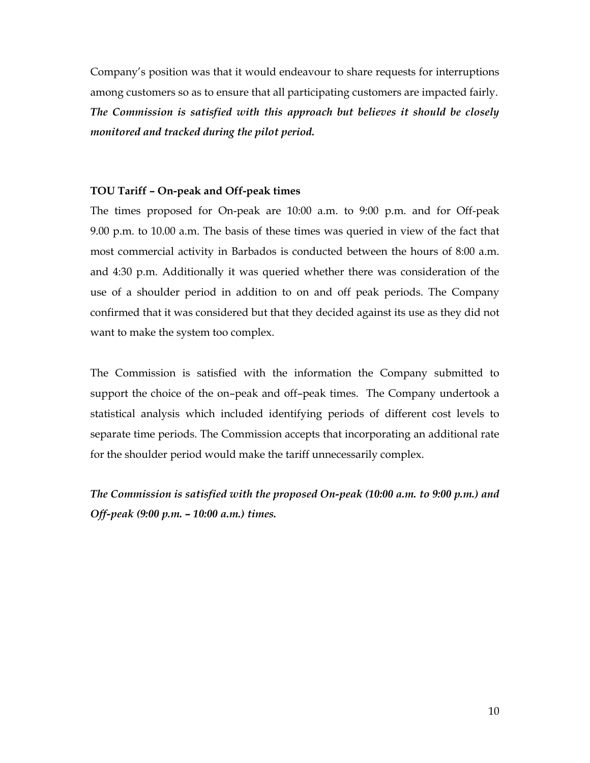Company's position was that it would endeavour to share requests for interruptions among customers so as to ensure that all participating customers are impacted fairly. *The Commission is satisfied with this approach but believes it should be closely monitored and tracked during the pilot period.* 

#### **TOU Tariff – On-peak and Off-peak times**

The times proposed for On-peak are 10:00 a.m. to 9:00 p.m. and for Off-peak 9.00 p.m. to 10.00 a.m. The basis of these times was queried in view of the fact that most commercial activity in Barbados is conducted between the hours of 8:00 a.m. and 4:30 p.m. Additionally it was queried whether there was consideration of the use of a shoulder period in addition to on and off peak periods. The Company confirmed that it was considered but that they decided against its use as they did not want to make the system too complex.

The Commission is satisfied with the information the Company submitted to support the choice of the on–peak and off–peak times. The Company undertook a statistical analysis which included identifying periods of different cost levels to separate time periods. The Commission accepts that incorporating an additional rate for the shoulder period would make the tariff unnecessarily complex.

*The Commission is satisfied with the proposed On-peak (10:00 a.m. to 9:00 p.m.) and Off-peak (9:00 p.m. – 10:00 a.m.) times.*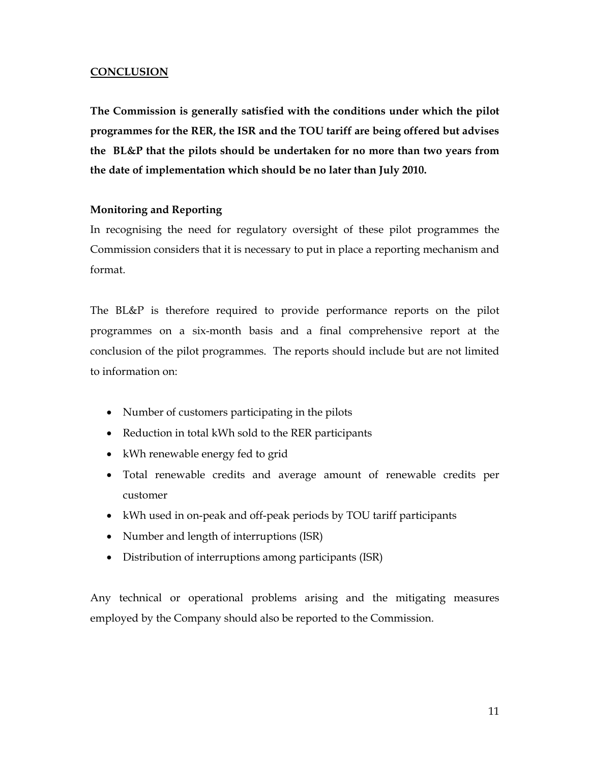# **CONCLUSION**

**The Commission is generally satisfied with the conditions under which the pilot programmes for the RER, the ISR and the TOU tariff are being offered but advises the BL&P that the pilots should be undertaken for no more than two years from the date of implementation which should be no later than July 2010.** 

# **Monitoring and Reporting**

In recognising the need for regulatory oversight of these pilot programmes the Commission considers that it is necessary to put in place a reporting mechanism and format.

The BL&P is therefore required to provide performance reports on the pilot programmes on a six-month basis and a final comprehensive report at the conclusion of the pilot programmes. The reports should include but are not limited to information on:

- Number of customers participating in the pilots
- Reduction in total kWh sold to the RER participants
- kWh renewable energy fed to grid
- Total renewable credits and average amount of renewable credits per customer
- kWh used in on-peak and off-peak periods by TOU tariff participants
- Number and length of interruptions (ISR)
- Distribution of interruptions among participants (ISR)

Any technical or operational problems arising and the mitigating measures employed by the Company should also be reported to the Commission.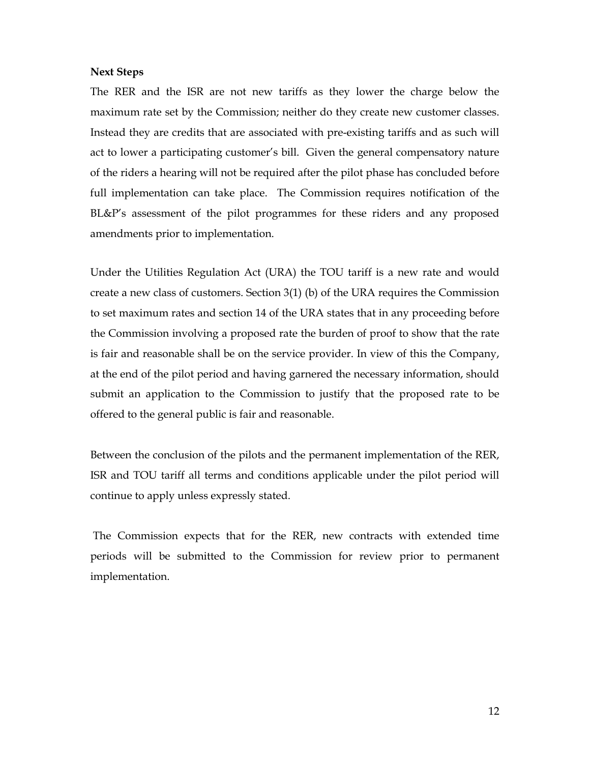#### **Next Steps**

The RER and the ISR are not new tariffs as they lower the charge below the maximum rate set by the Commission; neither do they create new customer classes. Instead they are credits that are associated with pre-existing tariffs and as such will act to lower a participating customer's bill. Given the general compensatory nature of the riders a hearing will not be required after the pilot phase has concluded before full implementation can take place. The Commission requires notification of the BL&P's assessment of the pilot programmes for these riders and any proposed amendments prior to implementation.

Under the Utilities Regulation Act (URA) the TOU tariff is a new rate and would create a new class of customers. Section 3(1) (b) of the URA requires the Commission to set maximum rates and section 14 of the URA states that in any proceeding before the Commission involving a proposed rate the burden of proof to show that the rate is fair and reasonable shall be on the service provider. In view of this the Company, at the end of the pilot period and having garnered the necessary information, should submit an application to the Commission to justify that the proposed rate to be offered to the general public is fair and reasonable.

Between the conclusion of the pilots and the permanent implementation of the RER, ISR and TOU tariff all terms and conditions applicable under the pilot period will continue to apply unless expressly stated.

 The Commission expects that for the RER, new contracts with extended time periods will be submitted to the Commission for review prior to permanent implementation.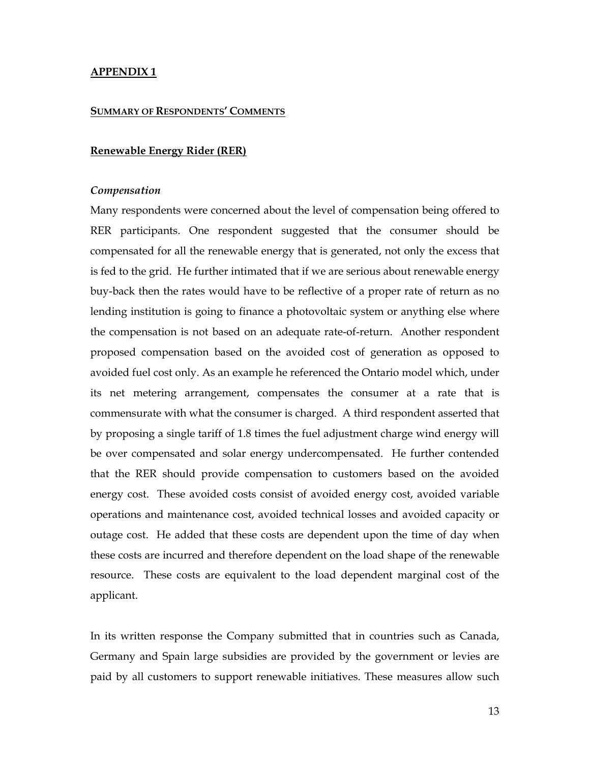#### **APPENDIX 1**

#### **SUMMARY OF RESPONDENTS' COMMENTS**

#### **Renewable Energy Rider (RER)**

#### *Compensation*

Many respondents were concerned about the level of compensation being offered to RER participants. One respondent suggested that the consumer should be compensated for all the renewable energy that is generated, not only the excess that is fed to the grid. He further intimated that if we are serious about renewable energy buy-back then the rates would have to be reflective of a proper rate of return as no lending institution is going to finance a photovoltaic system or anything else where the compensation is not based on an adequate rate-of-return. Another respondent proposed compensation based on the avoided cost of generation as opposed to avoided fuel cost only. As an example he referenced the Ontario model which, under its net metering arrangement, compensates the consumer at a rate that is commensurate with what the consumer is charged. A third respondent asserted that by proposing a single tariff of 1.8 times the fuel adjustment charge wind energy will be over compensated and solar energy undercompensated. He further contended that the RER should provide compensation to customers based on the avoided energy cost. These avoided costs consist of avoided energy cost, avoided variable operations and maintenance cost, avoided technical losses and avoided capacity or outage cost. He added that these costs are dependent upon the time of day when these costs are incurred and therefore dependent on the load shape of the renewable resource. These costs are equivalent to the load dependent marginal cost of the applicant.

In its written response the Company submitted that in countries such as Canada, Germany and Spain large subsidies are provided by the government or levies are paid by all customers to support renewable initiatives. These measures allow such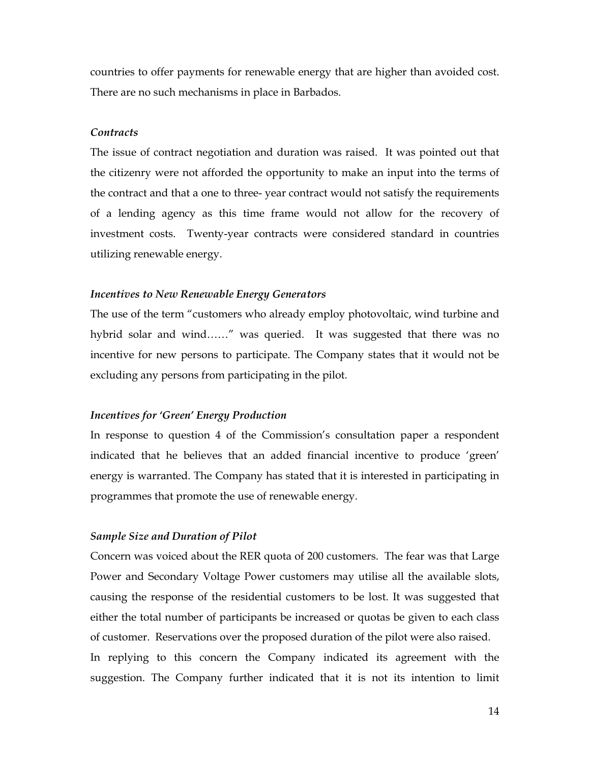countries to offer payments for renewable energy that are higher than avoided cost. There are no such mechanisms in place in Barbados.

#### *Contracts*

The issue of contract negotiation and duration was raised. It was pointed out that the citizenry were not afforded the opportunity to make an input into the terms of the contract and that a one to three- year contract would not satisfy the requirements of a lending agency as this time frame would not allow for the recovery of investment costs. Twenty-year contracts were considered standard in countries utilizing renewable energy.

#### *Incentives to New Renewable Energy Generators*

The use of the term "customers who already employ photovoltaic, wind turbine and hybrid solar and wind……" was queried. It was suggested that there was no incentive for new persons to participate. The Company states that it would not be excluding any persons from participating in the pilot.

#### *Incentives for 'Green' Energy Production*

In response to question 4 of the Commission's consultation paper a respondent indicated that he believes that an added financial incentive to produce 'green' energy is warranted. The Company has stated that it is interested in participating in programmes that promote the use of renewable energy.

#### *Sample Size and Duration of Pilot*

Concern was voiced about the RER quota of 200 customers. The fear was that Large Power and Secondary Voltage Power customers may utilise all the available slots, causing the response of the residential customers to be lost. It was suggested that either the total number of participants be increased or quotas be given to each class of customer. Reservations over the proposed duration of the pilot were also raised. In replying to this concern the Company indicated its agreement with the suggestion. The Company further indicated that it is not its intention to limit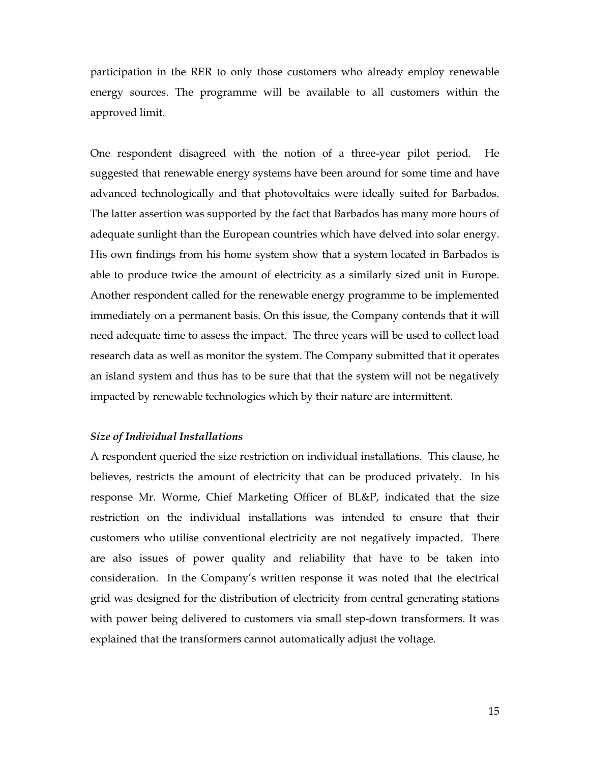participation in the RER to only those customers who already employ renewable energy sources. The programme will be available to all customers within the approved limit.

One respondent disagreed with the notion of a three-year pilot period. He suggested that renewable energy systems have been around for some time and have advanced technologically and that photovoltaics were ideally suited for Barbados. The latter assertion was supported by the fact that Barbados has many more hours of adequate sunlight than the European countries which have delved into solar energy. His own findings from his home system show that a system located in Barbados is able to produce twice the amount of electricity as a similarly sized unit in Europe. Another respondent called for the renewable energy programme to be implemented immediately on a permanent basis. On this issue, the Company contends that it will need adequate time to assess the impact. The three years will be used to collect load research data as well as monitor the system. The Company submitted that it operates an island system and thus has to be sure that that the system will not be negatively impacted by renewable technologies which by their nature are intermittent.

#### *Size of Individual Installations*

A respondent queried the size restriction on individual installations. This clause, he believes, restricts the amount of electricity that can be produced privately. In his response Mr. Worme, Chief Marketing Officer of BL&P, indicated that the size restriction on the individual installations was intended to ensure that their customers who utilise conventional electricity are not negatively impacted. There are also issues of power quality and reliability that have to be taken into consideration. In the Company's written response it was noted that the electrical grid was designed for the distribution of electricity from central generating stations with power being delivered to customers via small step-down transformers. It was explained that the transformers cannot automatically adjust the voltage.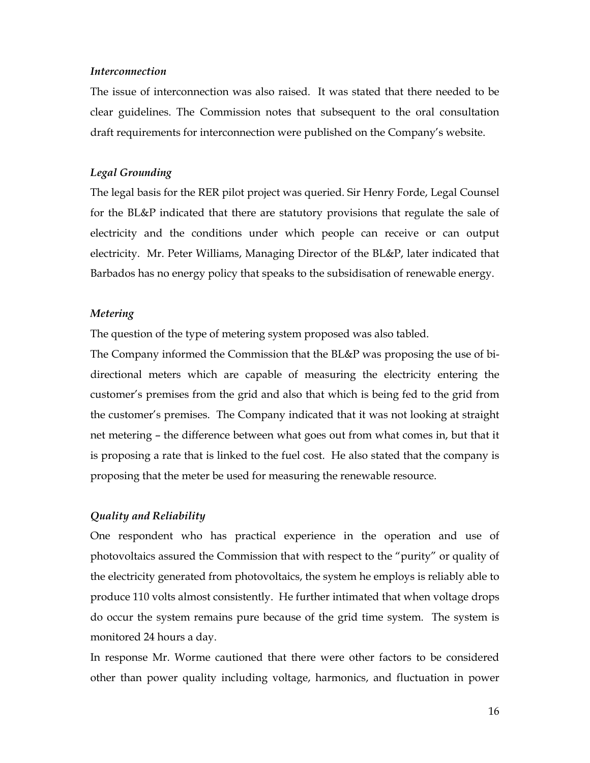#### *Interconnection*

The issue of interconnection was also raised. It was stated that there needed to be clear guidelines. The Commission notes that subsequent to the oral consultation draft requirements for interconnection were published on the Company's website.

#### *Legal Grounding*

The legal basis for the RER pilot project was queried. Sir Henry Forde, Legal Counsel for the BL&P indicated that there are statutory provisions that regulate the sale of electricity and the conditions under which people can receive or can output electricity. Mr. Peter Williams, Managing Director of the BL&P, later indicated that Barbados has no energy policy that speaks to the subsidisation of renewable energy.

#### *Metering*

The question of the type of metering system proposed was also tabled.

The Company informed the Commission that the BL&P was proposing the use of bidirectional meters which are capable of measuring the electricity entering the customer's premises from the grid and also that which is being fed to the grid from the customer's premises. The Company indicated that it was not looking at straight net metering – the difference between what goes out from what comes in, but that it is proposing a rate that is linked to the fuel cost. He also stated that the company is proposing that the meter be used for measuring the renewable resource.

#### *Quality and Reliability*

One respondent who has practical experience in the operation and use of photovoltaics assured the Commission that with respect to the "purity" or quality of the electricity generated from photovoltaics, the system he employs is reliably able to produce 110 volts almost consistently. He further intimated that when voltage drops do occur the system remains pure because of the grid time system. The system is monitored 24 hours a day.

In response Mr. Worme cautioned that there were other factors to be considered other than power quality including voltage, harmonics, and fluctuation in power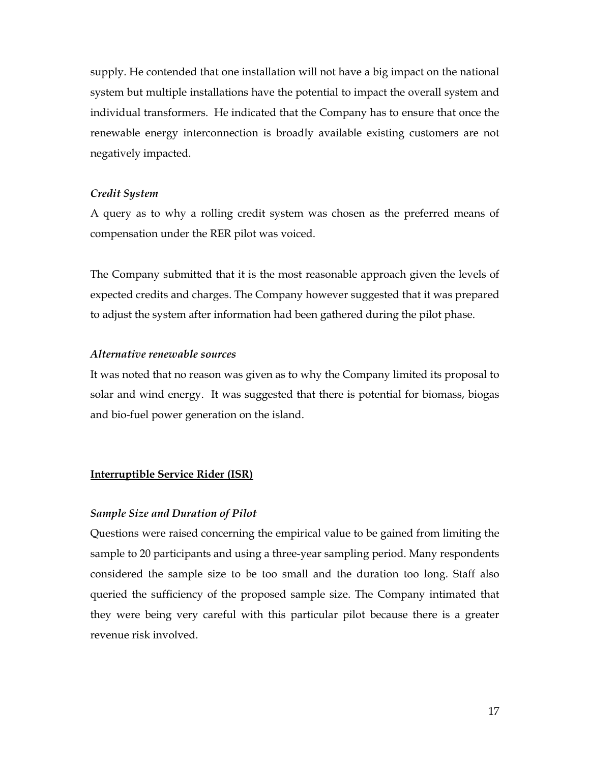supply. He contended that one installation will not have a big impact on the national system but multiple installations have the potential to impact the overall system and individual transformers. He indicated that the Company has to ensure that once the renewable energy interconnection is broadly available existing customers are not negatively impacted.

#### *Credit System*

A query as to why a rolling credit system was chosen as the preferred means of compensation under the RER pilot was voiced.

The Company submitted that it is the most reasonable approach given the levels of expected credits and charges. The Company however suggested that it was prepared to adjust the system after information had been gathered during the pilot phase.

#### *Alternative renewable sources*

It was noted that no reason was given as to why the Company limited its proposal to solar and wind energy. It was suggested that there is potential for biomass, biogas and bio-fuel power generation on the island.

#### **Interruptible Service Rider (ISR)**

#### *Sample Size and Duration of Pilot*

Questions were raised concerning the empirical value to be gained from limiting the sample to 20 participants and using a three-year sampling period. Many respondents considered the sample size to be too small and the duration too long. Staff also queried the sufficiency of the proposed sample size. The Company intimated that they were being very careful with this particular pilot because there is a greater revenue risk involved.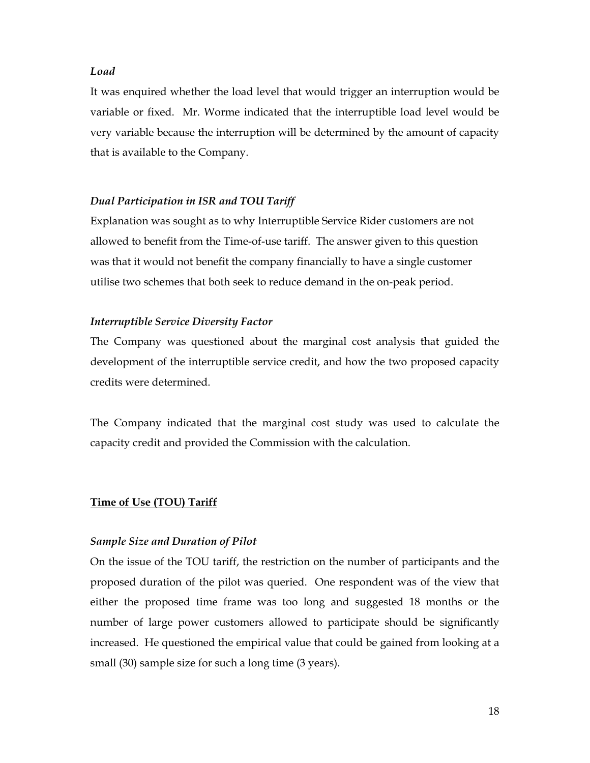### *Load*

It was enquired whether the load level that would trigger an interruption would be variable or fixed. Mr. Worme indicated that the interruptible load level would be very variable because the interruption will be determined by the amount of capacity that is available to the Company.

#### *Dual Participation in ISR and TOU Tariff*

Explanation was sought as to why Interruptible Service Rider customers are not allowed to benefit from the Time-of-use tariff. The answer given to this question was that it would not benefit the company financially to have a single customer utilise two schemes that both seek to reduce demand in the on-peak period.

#### *Interruptible Service Diversity Factor*

The Company was questioned about the marginal cost analysis that guided the development of the interruptible service credit, and how the two proposed capacity credits were determined.

The Company indicated that the marginal cost study was used to calculate the capacity credit and provided the Commission with the calculation.

#### **Time of Use (TOU) Tariff**

#### *Sample Size and Duration of Pilot*

On the issue of the TOU tariff, the restriction on the number of participants and the proposed duration of the pilot was queried. One respondent was of the view that either the proposed time frame was too long and suggested 18 months or the number of large power customers allowed to participate should be significantly increased. He questioned the empirical value that could be gained from looking at a small (30) sample size for such a long time (3 years).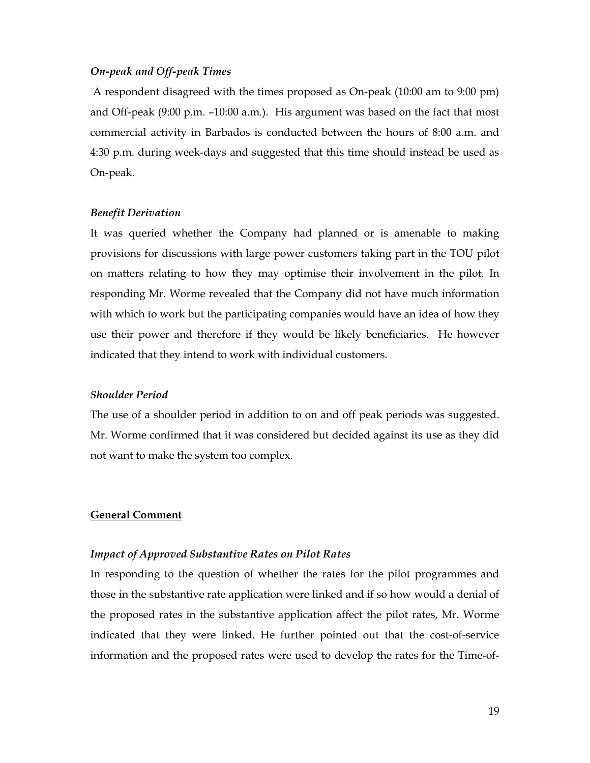#### *On-peak and Off-peak Times*

 A respondent disagreed with the times proposed as On-peak (10:00 am to 9:00 pm) and Off-peak (9:00 p.m. –10:00 a.m.). His argument was based on the fact that most commercial activity in Barbados is conducted between the hours of 8:00 a.m. and 4:30 p.m. during week-days and suggested that this time should instead be used as On-peak.

#### *Benefit Derivation*

It was queried whether the Company had planned or is amenable to making provisions for discussions with large power customers taking part in the TOU pilot on matters relating to how they may optimise their involvement in the pilot. In responding Mr. Worme revealed that the Company did not have much information with which to work but the participating companies would have an idea of how they use their power and therefore if they would be likely beneficiaries. He however indicated that they intend to work with individual customers.

#### *Shoulder Period*

The use of a shoulder period in addition to on and off peak periods was suggested. Mr. Worme confirmed that it was considered but decided against its use as they did not want to make the system too complex.

#### **General Comment**

#### *Impact of Approved Substantive Rates on Pilot Rates*

In responding to the question of whether the rates for the pilot programmes and those in the substantive rate application were linked and if so how would a denial of the proposed rates in the substantive application affect the pilot rates, Mr. Worme indicated that they were linked. He further pointed out that the cost-of-service information and the proposed rates were used to develop the rates for the Time-of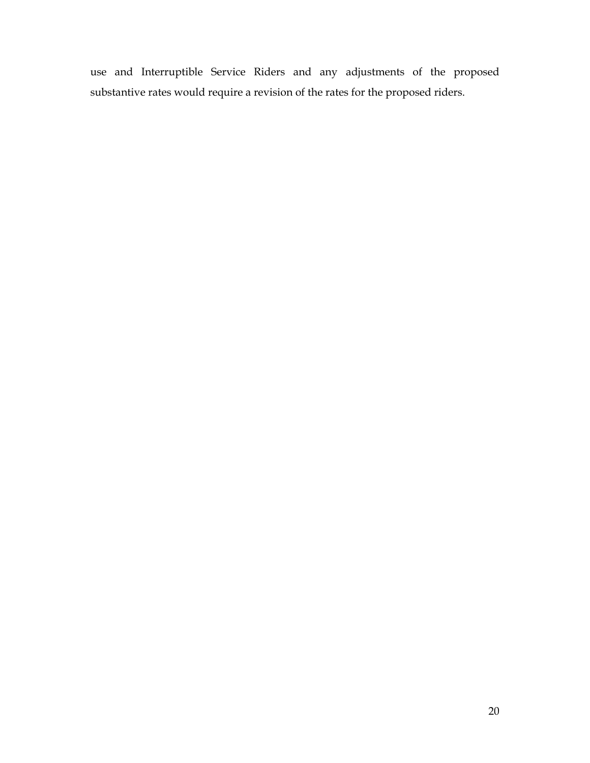use and Interruptible Service Riders and any adjustments of the proposed substantive rates would require a revision of the rates for the proposed riders.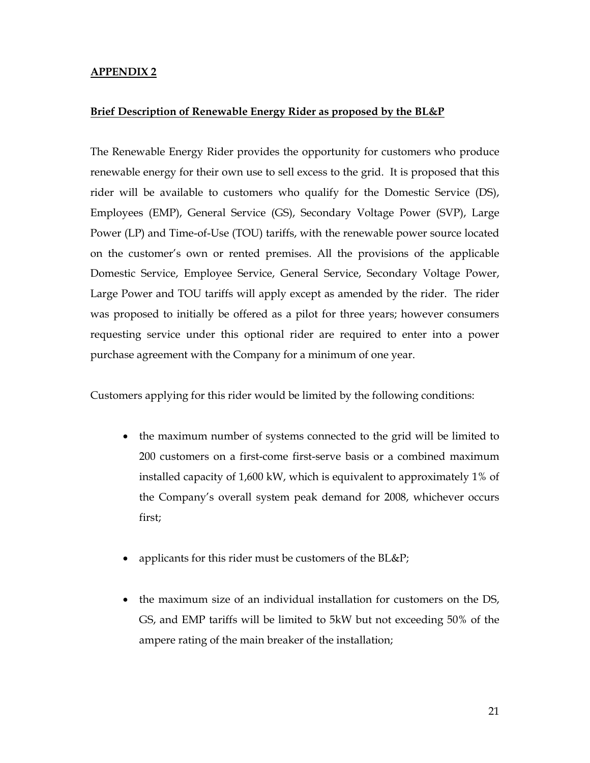### **APPENDIX 2**

#### **Brief Description of Renewable Energy Rider as proposed by the BL&P**

The Renewable Energy Rider provides the opportunity for customers who produce renewable energy for their own use to sell excess to the grid. It is proposed that this rider will be available to customers who qualify for the Domestic Service (DS), Employees (EMP), General Service (GS), Secondary Voltage Power (SVP), Large Power (LP) and Time-of-Use (TOU) tariffs, with the renewable power source located on the customer's own or rented premises. All the provisions of the applicable Domestic Service, Employee Service, General Service, Secondary Voltage Power, Large Power and TOU tariffs will apply except as amended by the rider. The rider was proposed to initially be offered as a pilot for three years; however consumers requesting service under this optional rider are required to enter into a power purchase agreement with the Company for a minimum of one year.

Customers applying for this rider would be limited by the following conditions:

- the maximum number of systems connected to the grid will be limited to 200 customers on a first-come first-serve basis or a combined maximum installed capacity of 1,600 kW, which is equivalent to approximately 1% of the Company's overall system peak demand for 2008, whichever occurs first;
- applicants for this rider must be customers of the BL&P;
- the maximum size of an individual installation for customers on the DS, GS, and EMP tariffs will be limited to 5kW but not exceeding 50% of the ampere rating of the main breaker of the installation;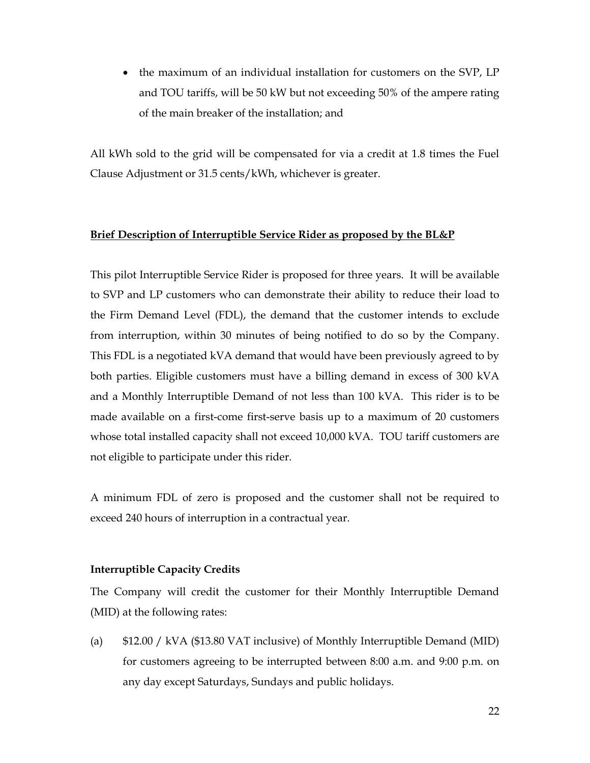• the maximum of an individual installation for customers on the SVP, LP and TOU tariffs, will be 50 kW but not exceeding 50% of the ampere rating of the main breaker of the installation; and

All kWh sold to the grid will be compensated for via a credit at 1.8 times the Fuel Clause Adjustment or 31.5 cents/kWh, whichever is greater.

#### **Brief Description of Interruptible Service Rider as proposed by the BL&P**

This pilot Interruptible Service Rider is proposed for three years. It will be available to SVP and LP customers who can demonstrate their ability to reduce their load to the Firm Demand Level (FDL), the demand that the customer intends to exclude from interruption, within 30 minutes of being notified to do so by the Company. This FDL is a negotiated kVA demand that would have been previously agreed to by both parties. Eligible customers must have a billing demand in excess of 300 kVA and a Monthly Interruptible Demand of not less than 100 kVA. This rider is to be made available on a first-come first-serve basis up to a maximum of 20 customers whose total installed capacity shall not exceed 10,000 kVA. TOU tariff customers are not eligible to participate under this rider.

A minimum FDL of zero is proposed and the customer shall not be required to exceed 240 hours of interruption in a contractual year.

#### **Interruptible Capacity Credits**

The Company will credit the customer for their Monthly Interruptible Demand (MID) at the following rates:

(a) \$12.00 / kVA (\$13.80 VAT inclusive) of Monthly Interruptible Demand (MID) for customers agreeing to be interrupted between 8:00 a.m. and 9:00 p.m. on any day except Saturdays, Sundays and public holidays.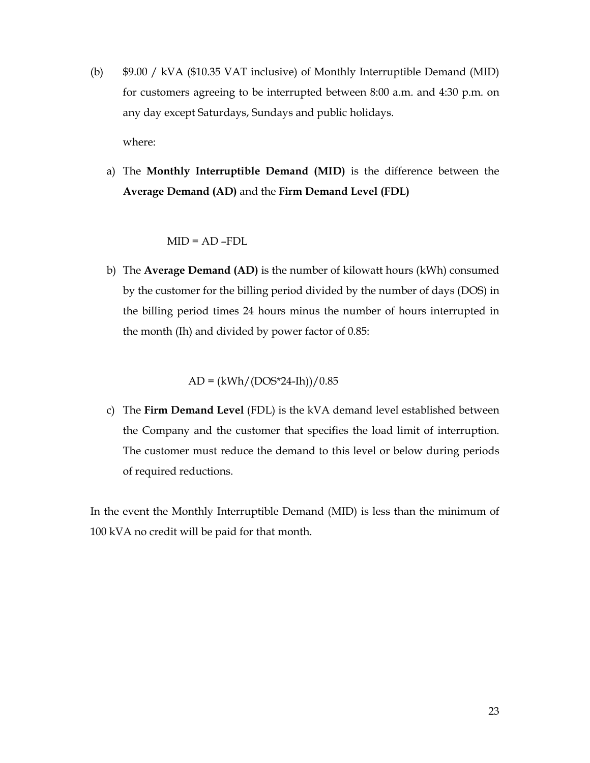- (b) \$9.00 / kVA (\$10.35 VAT inclusive) of Monthly Interruptible Demand (MID) for customers agreeing to be interrupted between 8:00 a.m. and 4:30 p.m. on any day except Saturdays, Sundays and public holidays. where:
	- a) The **Monthly Interruptible Demand (MID)** is the difference between the **Average Demand (AD)** and the **Firm Demand Level (FDL)**

 $MID = AD - FDL$ 

b) The **Average Demand (AD)** is the number of kilowatt hours (kWh) consumed by the customer for the billing period divided by the number of days (DOS) in the billing period times 24 hours minus the number of hours interrupted in the month (Ih) and divided by power factor of 0.85:

#### $AD = (kWh/(DOS*24-1h))/0.85$

c) The **Firm Demand Level** (FDL) is the kVA demand level established between the Company and the customer that specifies the load limit of interruption. The customer must reduce the demand to this level or below during periods of required reductions.

In the event the Monthly Interruptible Demand (MID) is less than the minimum of 100 kVA no credit will be paid for that month.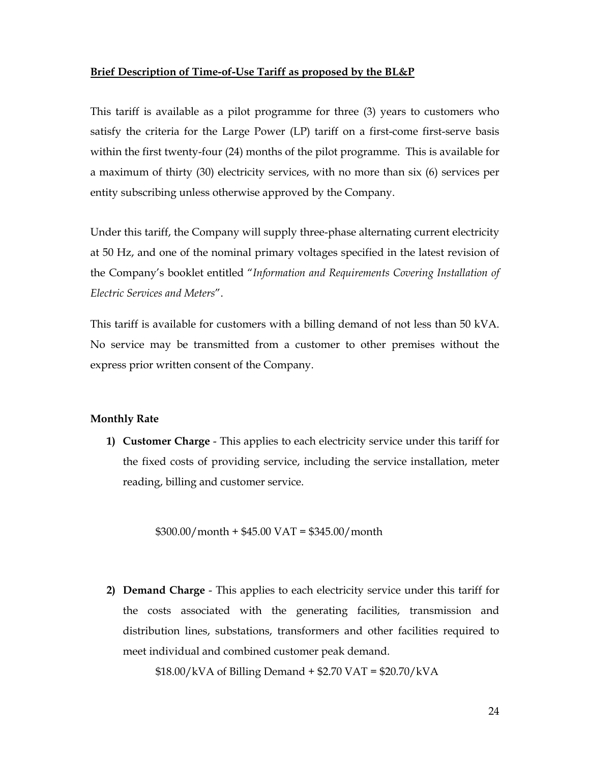#### **Brief Description of Time-of-Use Tariff as proposed by the BL&P**

This tariff is available as a pilot programme for three (3) years to customers who satisfy the criteria for the Large Power (LP) tariff on a first-come first-serve basis within the first twenty-four (24) months of the pilot programme. This is available for a maximum of thirty (30) electricity services, with no more than six (6) services per entity subscribing unless otherwise approved by the Company.

Under this tariff, the Company will supply three-phase alternating current electricity at 50 Hz, and one of the nominal primary voltages specified in the latest revision of the Company's booklet entitled "*Information and Requirements Covering Installation of Electric Services and Meters*".

This tariff is available for customers with a billing demand of not less than 50 kVA. No service may be transmitted from a customer to other premises without the express prior written consent of the Company.

#### **Monthly Rate**

**1) Customer Charge** - This applies to each electricity service under this tariff for the fixed costs of providing service, including the service installation, meter reading, billing and customer service.

 $$300.00/m$  onth + \$45.00 VAT = \$345.00/month

**2) Demand Charge** - This applies to each electricity service under this tariff for the costs associated with the generating facilities, transmission and distribution lines, substations, transformers and other facilities required to meet individual and combined customer peak demand.

\$18.00/kVA of Billing Demand + \$2.70 VAT = \$20.70/kVA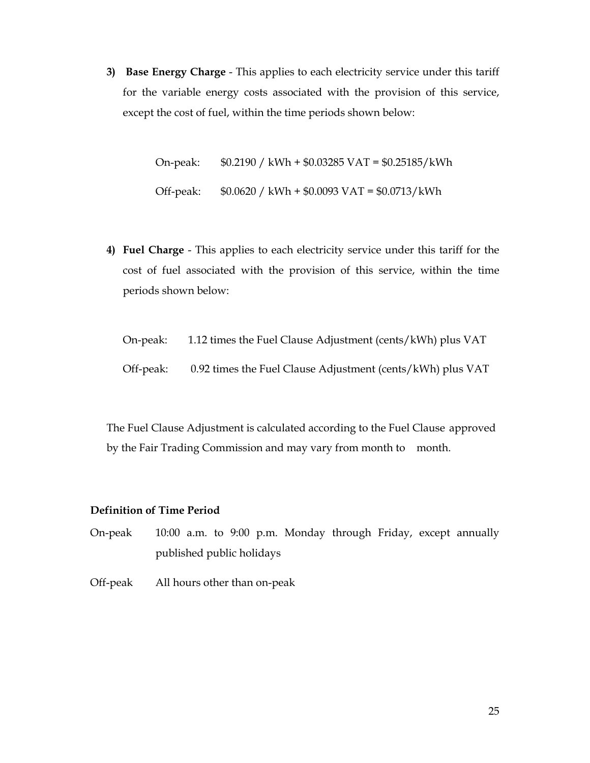**3) Base Energy Charge** - This applies to each electricity service under this tariff for the variable energy costs associated with the provision of this service, except the cost of fuel, within the time periods shown below:

> On-peak: \$0.2190 / kWh + \$0.03285 VAT = \$0.25185/kWh Off-peak: \$0.0620 / kWh + \$0.0093 VAT = \$0.0713/kWh

- **4) Fuel Charge**  This applies to each electricity service under this tariff for the cost of fuel associated with the provision of this service, within the time periods shown below:
	- On-peak: 1.12 times the Fuel Clause Adjustment (cents/kWh) plus VAT
	- Off-peak: 0.92 times the Fuel Clause Adjustment (cents/kWh) plus VAT

The Fuel Clause Adjustment is calculated according to the Fuel Clause approved by the Fair Trading Commission and may vary from month to month.

#### **Definition of Time Period**

- On-peak 10:00 a.m. to 9:00 p.m. Monday through Friday, except annually published public holidays
- Off-peak All hours other than on-peak